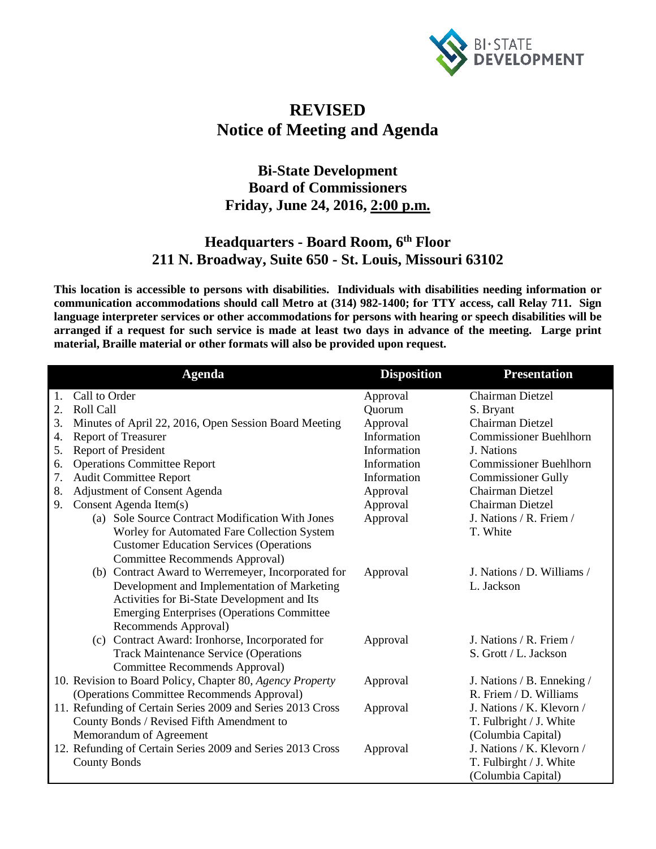

## **REVISED Notice of Meeting and Agenda**

## **Bi-State Development Board of Commissioners Friday, June 24, 2016, 2:00 p.m.**

## **Headquarters - Board Room, 6th Floor 211 N. Broadway, Suite 650 - St. Louis, Missouri 63102**

**This location is accessible to persons with disabilities. Individuals with disabilities needing information or communication accommodations should call Metro at (314) 982-1400; for TTY access, call Relay 711. Sign language interpreter services or other accommodations for persons with hearing or speech disabilities will be arranged if a request for such service is made at least two days in advance of the meeting. Large print material, Braille material or other formats will also be provided upon request.**

|    | <b>Agenda</b>                                              | <b>Disposition</b> | <b>Presentation</b>           |
|----|------------------------------------------------------------|--------------------|-------------------------------|
| 1. | Call to Order                                              | Approval           | <b>Chairman Dietzel</b>       |
| 2. | Roll Call                                                  | Quorum             | S. Bryant                     |
| 3. | Minutes of April 22, 2016, Open Session Board Meeting      | Approval           | <b>Chairman Dietzel</b>       |
| 4. | <b>Report of Treasurer</b>                                 | Information        | <b>Commissioner Buehlhorn</b> |
| 5. | <b>Report of President</b>                                 | Information        | J. Nations                    |
| 6. | <b>Operations Committee Report</b>                         | Information        | <b>Commissioner Buehlhorn</b> |
| 7. | <b>Audit Committee Report</b>                              | Information        | <b>Commissioner Gully</b>     |
| 8. | Adjustment of Consent Agenda                               | Approval           | <b>Chairman Dietzel</b>       |
| 9. | Consent Agenda Item(s)                                     | Approval           | Chairman Dietzel              |
|    | (a) Sole Source Contract Modification With Jones           | Approval           | J. Nations / R. Friem /       |
|    | Worley for Automated Fare Collection System                |                    | T. White                      |
|    | <b>Customer Education Services (Operations</b>             |                    |                               |
|    | Committee Recommends Approval)                             |                    |                               |
|    | (b) Contract Award to Werremeyer, Incorporated for         | Approval           | J. Nations / D. Williams /    |
|    | Development and Implementation of Marketing                |                    | L. Jackson                    |
|    | Activities for Bi-State Development and Its                |                    |                               |
|    | <b>Emerging Enterprises (Operations Committee</b>          |                    |                               |
|    | Recommends Approval)                                       |                    |                               |
|    | (c) Contract Award: Ironhorse, Incorporated for            | Approval           | J. Nations / R. Friem /       |
|    | <b>Track Maintenance Service (Operations</b>               |                    | S. Grott / L. Jackson         |
|    | Committee Recommends Approval)                             |                    |                               |
|    | 10. Revision to Board Policy, Chapter 80, Agency Property  | Approval           | J. Nations / B. Enneking /    |
|    | (Operations Committee Recommends Approval)                 |                    | R. Friem / D. Williams        |
|    | 11. Refunding of Certain Series 2009 and Series 2013 Cross | Approval           | J. Nations / K. Klevorn /     |
|    | County Bonds / Revised Fifth Amendment to                  |                    | T. Fulbright / J. White       |
|    | Memorandum of Agreement                                    |                    | (Columbia Capital)            |
|    | 12. Refunding of Certain Series 2009 and Series 2013 Cross | Approval           | J. Nations / K. Klevorn /     |
|    | <b>County Bonds</b>                                        |                    | T. Fulbirght / J. White       |
|    |                                                            |                    | (Columbia Capital)            |